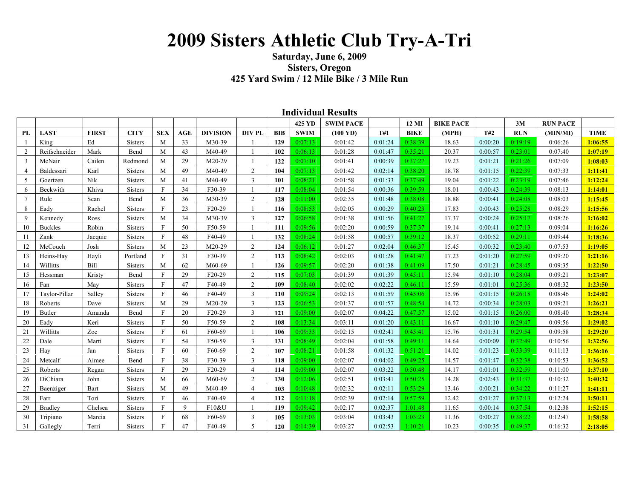## **2009 Sisters Athletic Club Try-A-Tri**

## **Saturday, June 6, 2009 Sisters, Oregon 425 Yard Swim / 12 Mile Bike / 3 Mile Run**

| Individual Results |                |              |                |              |            |                 |                |            |             |                    |         |             |                  |         |            |                 |             |
|--------------------|----------------|--------------|----------------|--------------|------------|-----------------|----------------|------------|-------------|--------------------|---------|-------------|------------------|---------|------------|-----------------|-------------|
|                    |                |              |                |              |            |                 |                |            | 425 YD      | <b>SWIM PACE</b>   |         | 12 MI       | <b>BIKE PACE</b> |         | 3M         | <b>RUN PACE</b> |             |
| PL                 | <b>LAST</b>    | <b>FIRST</b> | <b>CITY</b>    | <b>SEX</b>   | <b>AGE</b> | <b>DIVISION</b> | <b>DIVPL</b>   | <b>BIB</b> | <b>SWIM</b> | $(100 \text{ YD})$ | T#1     | <b>BIKE</b> | (MPH)            | T#2     | <b>RUN</b> | (MIN/MI)        | <b>TIME</b> |
|                    | King           | Ed           | Sisters        | M            | 33         | M30-39          |                | 129        | 0:07:13     | 0:01:42            | 0:01:24 | 0:38:39     | 18.63            | 0:00:20 | 0:19:19    | 0:06:26         | 1:06:55     |
| 2                  | Reifschneider  | Mark         | Bend           | M            | 43         | M40-49          |                | 102        | 0:06:13     | 0:01:28            | 0:01:47 | 0:35:21     | 20.37            | 0:00:57 | 0:23:01    | 0:07:40         | 1:07:19     |
| 3                  | McNair         | Cailen       | Redmond        | M            | 29         | $M20-29$        |                | 122        | 0:07:10     | 0:01:41            | 0:00:39 | 0:37:27     | 19.23            | 0:01:21 | 0:21:26    | 0:07:09         | 1:08:03     |
| 4                  | Baldessari     | Karl         | <b>Sisters</b> | M            | 49         | M40-49          | 2              | 104        | 0:07:13     | 0:01:42            | 0:02:14 | 0:38:20     | 18.78            | 0:01:15 | 0:22:39    | 0:07:33         | 1:11:41     |
| 5                  | Goertzen       | Nik          | <b>Sisters</b> | M            | 41         | M40-49          | 3              | 101        | 0:08:21     | 0:01:58            | 0:01:33 | 0:37:49     | 19.04            | 0:01:22 | 0:23:19    | 0:07:46         | 1:12:24     |
| 6                  | Beckwith       | Khiva        | <b>Sisters</b> | $\mathbf{F}$ | 34         | F30-39          |                | 117        | 0:08:04     | 0:01:54            | 0:00:36 | 0:39:59     | 18.01            | 0:00:43 | 0:24:39    | 0:08:13         | 1:14:01     |
| $\overline{7}$     | Rule           | Sean         | Bend           | M            | 36         | M30-39          | 2              | 128        | 0:11:00     | 0:02:35            | 0:01:48 | 0:38:08     | 18.88            | 0:00:41 | 0:24:08    | 0:08:03         | 1:15:45     |
| 8                  | Eady           | Rachel       | Sisters        | F            | 23         | F20-29          |                | 116        | 0:08:53     | 0:02:05            | 0:00:29 | 0:40:23     | 17.83            | 0:00:43 | 0:25:28    | 0:08:29         | 1:15:56     |
| 9                  | Kennedy        | Ross         | <b>Sisters</b> | M            | 34         | M30-39          | 3              | 127        | 0:06:58     | 0:01:38            | 0:01:56 | 0:41:27     | 17.37            | 0:00:24 | 0:25:17    | 0:08:26         | 1:16:02     |
| 10                 | <b>Buckles</b> | Robin        | <b>Sisters</b> | $\mathbf{F}$ | 50         | F50-59          |                | 111        | 0:09:56     | 0:02:20            | 0:00:59 | 0:37:37     | 19.14            | 0:00:41 | 0:27:13    | 0:09:04         | 1:16:26     |
| 11                 | Zank           | Jacquic      | Sisters        | $\mathbf{F}$ | 48         | F40-49          |                | 132        | 0:08:24     | 0:01:58            | 0:00:57 | 0:39:12     | 18.37            | 0:00:52 | 0:29:11    | 0:09:44         | 1:18:36     |
| 12                 | McCouch        | Josh         | Sisters        | M            | 23         | M20-29          | $\overline{2}$ | 124        | 0:06:12     | 0:01:27            | 0:02:04 | 0:46:37     | 15.45            | 0:00:32 | 0:23:40    | 0:07:53         | 1:19:05     |
| 13                 | Heins-Hav      | Havli        | Portland       | $\mathbf{F}$ | 31         | F30-39          | $\overline{2}$ | 113        | 0:08:42     | 0:02:03            | 0:01:28 | 0:41:47     | 17.23            | 0:01:20 | 0:27:59    | 0:09:20         | 1:21:16     |
| 14                 | Willitts       | Bill         | <b>Sisters</b> | M            | 62         | M60-69          |                | 126        | 0:09:57     | 0:02:20            | 0:01:38 | 0:41:09     | 17.50            | 0:01:21 | 0:28:45    | 0:09:35         | 1:22:50     |
| 15                 | Hessman        | Kristy       | Bend           | $\mathbf{F}$ | 29         | F20-29          | 2              | 115        | 0:07:03     | 0:01:39            | 0:01:39 | 0:45:11     | 15.94            | 0:01:10 | 0:28:04    | 0:09:21         | 1:23:07     |
| 16                 | Fan            | May          | <b>Sisters</b> | $_{\rm F}$   | 47         | F40-49          | $\overline{2}$ | 109        | 0:08:40     | 0:02:02            | 0:02:22 | 0:46:11     | 15.59            | 0:01:01 | 0:25:36    | 0:08:32         | 1:23:50     |
| 17                 | Taylor-Pillar  | Salley       | <b>Sisters</b> | F            | 46         | F40-49          | 3              | <b>110</b> | 0:09:24     | 0:02:13            | 0:01:59 | 0:45:06     | 15.96            | 0:01:15 | 0:26:18    | 0:08:46         | 1:24:02     |
| 18                 | Roberts        | Dave         | Sisters        | M            | 29         | $M20-29$        | 3              | 123        | 0:06:53     | 0:01:37            | 0:01:57 | 0:48:54     | 14.72            | 0:00:34 | 0:28:03    | 0:09:21         | 1:26:21     |
| 19                 | <b>Butler</b>  | Amanda       | Bend           | $\mathbf{F}$ | 20         | F20-29          | 3              | 121        | 0:09:00     | 0:02:07            | 0:04:22 | 0:47:57     | 15.02            | 0:01:15 | 0:26:00    | 0:08:40         | 1:28:34     |
| 20                 | Eadv           | Keri         | Sisters        | $\mathbf{F}$ | 50         | F50-59          | 2              | 108        | 0:13:34     | 0:03:11            | 0:01:20 | 0:43:11     | 16.67            | 0:01:10 | 0:29:47    | 0:09:56         | 1:29:02     |
| 21                 | Willitts       | Zoe          | <b>Sisters</b> | $\mathbf{F}$ | 61         | F60-69          |                | 106        | 0:09:33     | 0:02:15            | 0:02:41 | 0:45:41     | 15.76            | 0:01:31 | 0:29:54    | 0:09:58         | 1:29:20     |
| 22                 | Dale           | Marti        | Sisters        | F            | 54         | F50-59          | 3              | 131        | 0:08:49     | 0:02:04            | 0:01:58 | 0:49:11     | 14.64            | 0:00:09 | 0:32:49    | 0:10:56         | 1:32:56     |
| 23                 | Hay            | Jan          | Sisters        | $\mathbf{F}$ | 60         | F60-69          | $\overline{2}$ | 107        | 0:08:21     | 0:01:58            | 0:01:32 | 0:51:21     | 14.02            | 0:01:23 | 0:33:39    | 0:11:13         | 1:36:16     |
| 24                 | Metcalf        | Aimee        | Bend           | $\mathbf{F}$ | 38         | F30-39          | 3              | 118        | 0:09:00     | 0:02:07            | 0:04:02 | 0:49:25     | 14.57            | 0:01:47 | 0:32:38    | 0:10:53         | 1:36:52     |
| 25                 | Roberts        | Regan        | <b>Sisters</b> | $\mathbf{F}$ | 29         | F20-29          | $\overline{4}$ | 114        | 0:09:00     | 0:02:07            | 0:03:22 | 0:50:48     | 14.17            | 0:01:01 | 0:32:59    | 0:11:00         | 1:37:10     |
| 26                 | DiChiara       | John         | Sisters        | M            | 66         | M60-69          | $\overline{2}$ | 130        | 0:12:06     | 0:02:51            | 0:03:41 | 0:50:25     | 14.28            | 0:02:43 | 0:31:37    | 0:10:32         | 1:40:32     |
| 27                 | Baenziger      | Bart         | Sisters        | M            | 49         | M40-49          | $\overline{4}$ | 103        | 0:10:48     | 0:02:32            | 0:02:11 | 0:53:29     | 13.46            | 0:00:21 | 0:34:22    | 0:11:27         | 1:41:11     |
| 28                 | Farr           | Tori         | Sisters        | $\mathbf{F}$ | 46         | F40-49          | $\overline{4}$ | 112        | 0:11:18     | 0:02:39            | 0:02:14 | 0:57:59     | 12.42            | 0:01:27 | 0:37:13    | 0:12:24         | 1:50:11     |
| 29                 | <b>Bradley</b> | Chelsea      | Sisters        | F            | 9          | $F10\&U$        |                | 119        | 0:09:42     | 0:02:17            | 0:02:37 | 1:01:48     | 11.65            | 0:00:14 | 0:37:54    | 0:12:38         | 1:52:15     |
| 30                 | Tripiano       | Marcia       | Sisters        | $_{\rm F}$   | 68         | F60-69          | 3              | 105        | 0:13:03     | 0:03:04            | 0:03:43 | 1:03:23     | 11.36            | 0:00:27 | 0:38:22    | 0:12:47         | 1:58:58     |
| 31                 | Gallegly       | Terri        | Sisters        | F            | 47         | F40-49          | 5              | 120        | 0:14:39     | 0:03:27            | 0:02:53 | 1:10:21     | 10.23            | 0:00:35 | 0:49:37    | 0:16:32         | 2:18:05     |

**Individual Results**